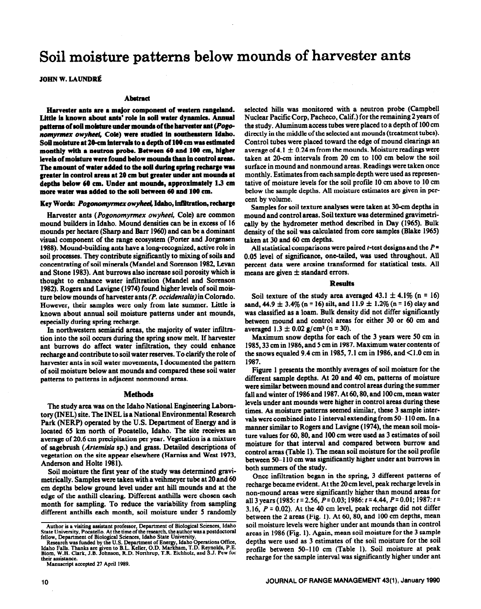# **Soil moisture patterns below mounds of harvester ants**

JOHN W. LAUNDRÉ

#### **Abstract**

Harvester ants are a major component of western rangeland. **Little is known about ants' role in soil water dynamica. Annual**  patterns of soil moisture under mounds of the harvester ant (*Pogo*nomyrmex owyheei, Cole) were studied in southeastern Idaho. Soil moisture at 20-cm intervals to a depth of 100 cm was estimated **monthly with a neutron probe. Between 60 and 100 cm, blgber**  levels of moisture were found below mounds than in control areas. The amount of water added to the soil during spring recharge was **greater In control areas at 20 cm but greater under ant mouoda at depths below 60 cm. Under ant mound& approximately 1.3 cm more water wan added to the soil between 60 and 100 cm.** 

## Key Words: *Pogonomyrmex owyheei*, Idaho, infiltration, recharge

Harvester ants (*Pogonomyrmex owyheei*, Cole) are common **mound builders in** Idaho. Mound densities can be in excess of 16 mounds per hectare (Sharp and Barr 1960) and can be a dominant visual component of the range ecosystem (Porter and Jorgensen 1988). Mound-building ants have a long-recognized, active role in soil processes. They contribute significantly to mixing of soils and concentrating of soil minerals (Mandel and Sorenson 1982, Lcvan and Stone 1983). Ant burrows also increase soil porosity which is thought to enhance water infiltration (Mandel and Sorenson 1982). Rogers and Lavigne (1974) found higher levels of soil moisture below mounds of harvester ants *(P. occidentalis)* in Colorado. However, their samples were only from late summer. Little is known about annual soil moisture patterns under ant mounds, especially during spring recharge.

In northwestern semiarid areas, the majority of water inflltration into the soil occurs during the spring snow melt. If harvester ant burrows do affect water infiltration, they could enhance recharge and contribute to soil water reserves. To clarify the role of harvester ants in soil water movements, I documented the pattern of soil moisture below ant mounds and compared these soil water patterns to patterns in adjacent nonmound areas.

# **Methods**

**The** study area was on the Idaho National Engineering Laboratory (INEL) site. The INEL is a National Environmental Research Park (NERP) operated by the U.S. Department of Energy and is located 65 km north of Pocatello, Idaho. The site receives an average of 20.6 cm precipitation per year. Vegetation is a mixture of sagebrush *(Artemisia* sp.) and grass. Detailed descriptions of vegetation on the site appear elsewhere (Hamiss and West 1973, Anderson and Holte 1981).

Soil moisture the first year of the study was determined gravimetrically. Samples were taken with a veihmeyer tube at 20 and 60 cm depths below ground level under ant hill mounds and at the edge of the anthill clearing. Different anthills were chosen each month for sampling. To reduce the variability from sampling different anthills each month, soil moisture under 5 randomly selected hills was monitored with a neutron probe (Campbell Nuclear Pacific Corp, Pacheco, Calif.) for the remaining 2 years of the study. Aluminum access tubes were placed to a depth of 100 cm directly in the middle of the selected ant mounds (treatment tubes). Control tubes were placed toward the edge of mound clearings an average of 4.1  $\pm$  0.24 m from the mounds. Moisture readings were taken at 2O-cm intervals from 20 cm to 100 cm below the soil surface in mound and nonmound areas. Readings were taken once monthly. Estimates from each sample depth were used as representative of moisture levels for the soil profile 10 cm above to 10 cm below the sample depths. All moisture estimates are given in percent by volume.

Samples for soil texture analyses were taken at 3O-cm depths in mound and control areas. Soil texture was determined gravimetrically by the hydrometer method described in Day (1965). Bulk density of the soil was calculated from core samples (Blake 1965) taken at 30 and 60 cm depths.

All statistical comparisons were paired t-test designs and the *P= 0.05* level of significance, one-tailed, was used throughout. AU percent data were arcsine transformed for statistical tests. All means are given  $\pm$  standard errors.

#### **Results**

Soil texture of the study area averaged  $43.1 \pm 4.1\%$  (n = 16) sand, 44.9  $\pm$  3.4% (n = 16) silt, and 11.9  $\pm$  1.2% (n = 16) clay and was classified as a loam. Bulk density did not differ significantly between mound and control areas for either 30 or 60 cm and averaged  $1.3 \pm 0.02$  g/cm<sup>3</sup> (n = 30).

Maximum snow depths for each of the 3 years were 50 cm in 1985, 33 cm in 1986, and 5 cm in 1987. Maximum water contents of the snows equaled 9.4 cm in 1985, 7.1 cm in 1986, and  $\leq 1.0$  cm in 1987.

Figure 1 presents the monthly averages of soil moisture for the different sample depths. At 20 and 40 cm, patterns of moisture were similar between mound and control areas during the summer fall and winter of 1986 and 1987. At 60,80, and 100 cm, mean water levels under ant mounds were higher in control areas during these times. As moisture patterns seemed similar, these 3 sample intervals were combined into 1 interval extending from 50-l 10 cm. In a manner similar to Rogers and Lavigne (1974), the mean soil moisture values for 60,80, and 100 cm were used as 3 estimates of soil moisture for that interval and compared between burrow and control areas (Table 1). The mean soil moisture for the soil profile between 50-110 cm was significantly higher under ant burrows in both summers of the study.

Once infiltration began in the spring, 3 different patterns of recharge became evident. At the 20 cm level, peak recharge levels in non-mound areas were significantly higher than mound areas for all 3 years (1985: t = 2.56, *P=* 0.03; 1986: t = 4.44, *P=* 0.01; 1987: t = 3.16, *P =* 0.02). At the 40 cm level, peak recharge did not differ between the 2 areas (Fig. 1). At 60,80, and 100 cm depths, mean soil moisture levels were higher under ant mounds than in control areas in 1986 (Fig. 1). Again, mean soil moisture for the 3 sample depths were used as 3 estimates of the soil moisture for the soil profile between 50-110 cm (Table 1). Soil moisture at peak recharge for the sample interval was significantly higher under ant

**Author is a visiting assistant professor, Department of Biological Sciences, Idaho State University, Pocatello. At the time of the research, the author was a postdoctoral fellow, Department of Biological Sciences, Idaho State University.** 

**Research was funded by the U.S. Department of Energy, Idaho Operations office,**  Idaho Falls. Thanks are given to B.L. Keller, O.D. Markham, T.D. Reynolds, P.E.<br>Blom, W.H. Clark, J.B. Johnson, R.D. Northrup, T.R. Eichholz, and S.J. Pew for **their assistance.** 

**Manuscript accepted 27 April 1989.**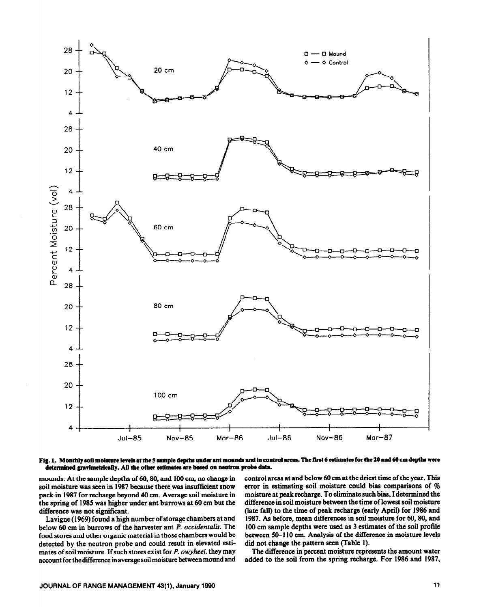

Fig. 1. Monthly soil moisture levels at the 5 sample depths under ant mounds and in control areas. The first 6 estimates for the 20 and 60 cm depths were determined gravimetrically. All the other estimates are based on neutron probe data.

mounds. At the sample depths of 60,80, and 100 cm, no change in soil moisture was seen in 1987 because there was insufficient snow pack in 1987 for recharge beyond 40 cm. Average soil moisture in the spring of 1985 was higher under ant burrows at 60 cm but the difference was not significant.

Lavigne (1969) found a high number of storage chambers at and below 60 cm in burrows of the harvester ant *P. occidentalis. The*  food stores and other organic material in those chambers would be detected by the neutron probe and could result in elevated estimates of soil moisture. If such stores exist for *P. owyheei,* they may account for **the difference** in average soil moisture between mound and control areas at and below 60 cm at the driest time of the year. This error in estimating soil moisture could bias comparisons of  $\%$ moisture at peak recharge. To eliminate such bias, I determined the difference in soil moisture between the time of lowest soil moisture (late fall) to the time of peak recharge (early April) for 1986 and 1987. As before, mean differences in soil moisture for 60,80, and 100 cm sample depths were used as 3 estimates of the soil profile between SO- 110 cm. Analysis of the difference in moisture levels did not change the pattern seen (Table 1).

The difference in percent moisture represents the amount water added to the soil from the spring recharge. For 1986 and 1987,